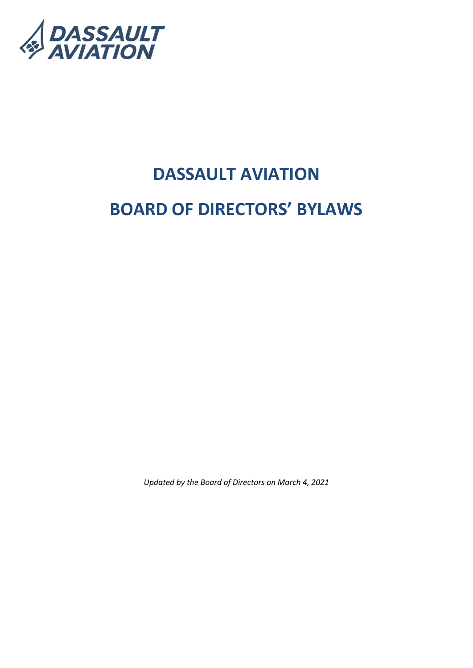

# **DASSAULT AVIATION BOARD OF DIRECTORS' BYLAWS**

*Updated by the Board of Directors on March 4, 2021*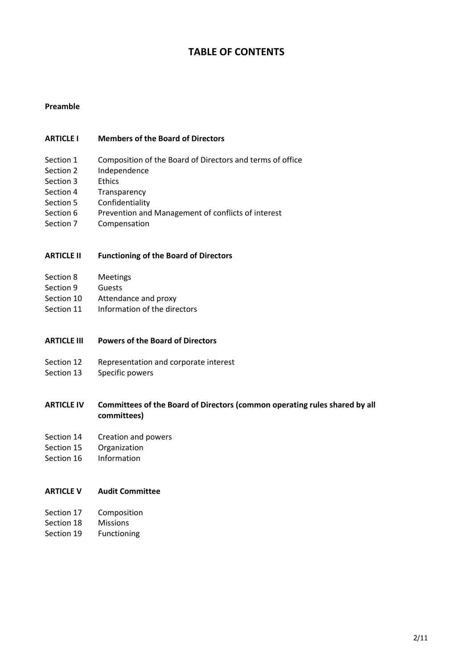# **TABLE OF CONTENTS**

#### **Preamble**

#### **ARTICLE I Members of the Board of Directors**

- Section 1 Composition of the Board of Directors and terms of office
- Section 2 Independence
- Section 3 Ethics
- Section 4 Transparency
- Section 5 Confidentiality
- Section 6 Prevention and Management of conflicts of interest
- Section 7 Compensation

#### **ARTICLE II Functioning of the Board of Directors**

- Section 8 Meetings
- Section 9 Guests
- Section 10 Attendance and proxy
- Section 11 Information of the directors
- **ARTICLE III Powers of the Board of Directors**
- Section 12 Representation and corporate interest
- Section 13 Specific powers

# **ARTICLE IV Committees of the Board of Directors (common operating rules shared by all committees)**

- Section 14 Creation and powers
- Section 15 Organization
- Section 16 Information

#### **ARTICLE V Audit Committee**

- Section 17 Composition
- Section 18 Missions
- Section 19 Functioning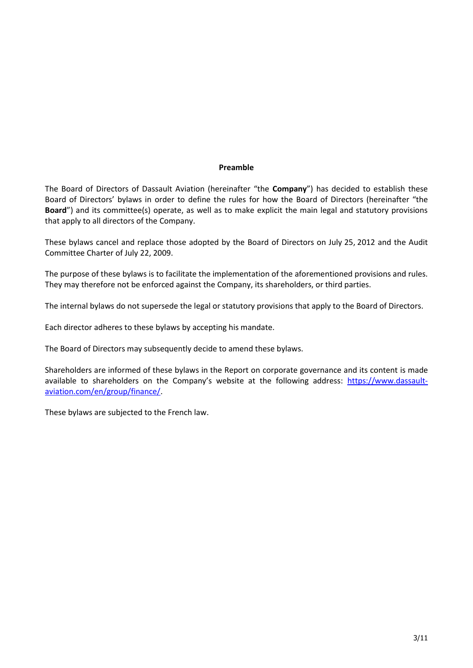## **Preamble**

The Board of Directors of Dassault Aviation (hereinafter "the **Company**") has decided to establish these Board of Directors' bylaws in order to define the rules for how the Board of Directors (hereinafter "the **Board**") and its committee(s) operate, as well as to make explicit the main legal and statutory provisions that apply to all directors of the Company.

These bylaws cancel and replace those adopted by the Board of Directors on July 25, 2012 and the Audit Committee Charter of July 22, 2009.

The purpose of these bylaws is to facilitate the implementation of the aforementioned provisions and rules. They may therefore not be enforced against the Company, its shareholders, or third parties.

The internal bylaws do not supersede the legal or statutory provisions that apply to the Board of Directors.

Each director adheres to these bylaws by accepting his mandate.

The Board of Directors may subsequently decide to amend these bylaws.

Shareholders are informed of these bylaws in the Report on corporate governance and its content is made available to shareholders on the Company's website at the following address: [https://www.dassault](https://www.dassault-aviation.com/en/group/finance/)[aviation.com/en/group/finance/.](https://www.dassault-aviation.com/en/group/finance/)

These bylaws are subjected to the French law.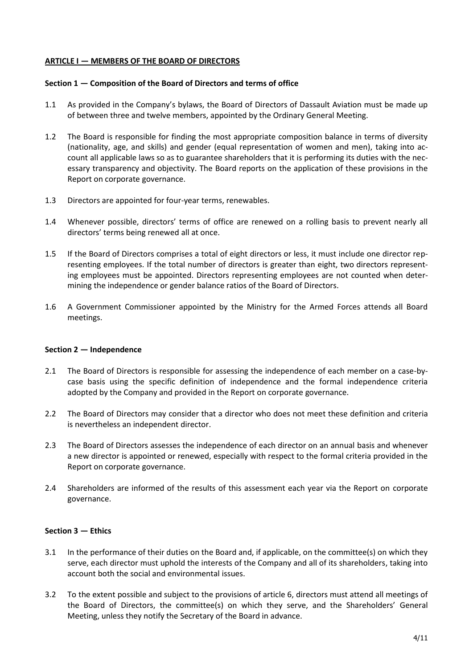## **ARTICLE I — MEMBERS OF THE BOARD OF DIRECTORS**

#### **Section 1 — Composition of the Board of Directors and terms of office**

- 1.1 As provided in the Company's bylaws, the Board of Directors of Dassault Aviation must be made up of between three and twelve members, appointed by the Ordinary General Meeting.
- 1.2 The Board is responsible for finding the most appropriate composition balance in terms of diversity (nationality, age, and skills) and gender (equal representation of women and men), taking into account all applicable laws so as to guarantee shareholders that it is performing its duties with the necessary transparency and objectivity. The Board reports on the application of these provisions in the Report on corporate governance.
- 1.3 Directors are appointed for four-year terms, renewables.
- 1.4 Whenever possible, directors' terms of office are renewed on a rolling basis to prevent nearly all directors' terms being renewed all at once.
- 1.5 If the Board of Directors comprises a total of eight directors or less, it must include one director representing employees. If the total number of directors is greater than eight, two directors representing employees must be appointed. Directors representing employees are not counted when determining the independence or gender balance ratios of the Board of Directors.
- 1.6 A Government Commissioner appointed by the Ministry for the Armed Forces attends all Board meetings.

#### **Section 2 — Independence**

- 2.1 The Board of Directors is responsible for assessing the independence of each member on a case-bycase basis using the specific definition of independence and the formal independence criteria adopted by the Company and provided in the Report on corporate governance.
- 2.2 The Board of Directors may consider that a director who does not meet these definition and criteria is nevertheless an independent director.
- 2.3 The Board of Directors assesses the independence of each director on an annual basis and whenever a new director is appointed or renewed, especially with respect to the formal criteria provided in the Report on corporate governance.
- 2.4 Shareholders are informed of the results of this assessment each year via the Report on corporate governance.

#### **Section 3 — Ethics**

- 3.1 In the performance of their duties on the Board and, if applicable, on the committee(s) on which they serve, each director must uphold the interests of the Company and all of its shareholders, taking into account both the social and environmental issues.
- 3.2 To the extent possible and subject to the provisions of article 6, directors must attend all meetings of the Board of Directors, the committee(s) on which they serve, and the Shareholders' General Meeting, unless they notify the Secretary of the Board in advance.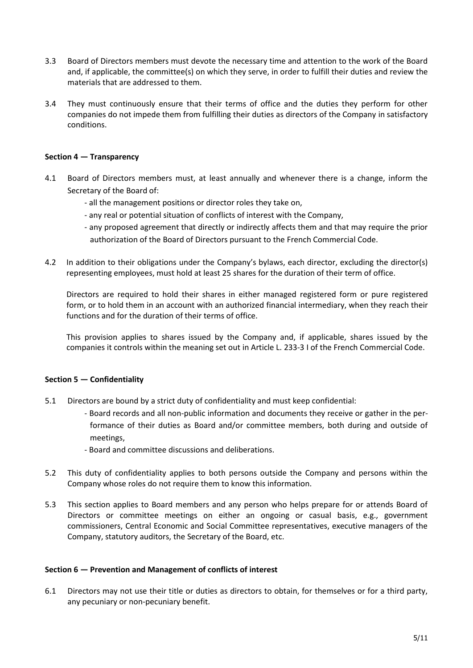- 3.3 Board of Directors members must devote the necessary time and attention to the work of the Board and, if applicable, the committee(s) on which they serve, in order to fulfill their duties and review the materials that are addressed to them.
- 3.4 They must continuously ensure that their terms of office and the duties they perform for other companies do not impede them from fulfilling their duties as directors of the Company in satisfactory conditions.

# **Section 4 — Transparency**

- 4.1 Board of Directors members must, at least annually and whenever there is a change, inform the Secretary of the Board of:
	- all the management positions or director roles they take on,
	- any real or potential situation of conflicts of interest with the Company,
	- any proposed agreement that directly or indirectly affects them and that may require the prior authorization of the Board of Directors pursuant to the French Commercial Code.
- 4.2 In addition to their obligations under the Company's bylaws, each director, excluding the director(s) representing employees, must hold at least 25 shares for the duration of their term of office.

Directors are required to hold their shares in either managed registered form or pure registered form, or to hold them in an account with an authorized financial intermediary, when they reach their functions and for the duration of their terms of office.

This provision applies to shares issued by the Company and, if applicable, shares issued by the companies it controls within the meaning set out in Article L. 233-3 I of the French Commercial Code.

#### **Section 5 — Confidentiality**

- 5.1 Directors are bound by a strict duty of confidentiality and must keep confidential:
	- Board records and all non-public information and documents they receive or gather in the performance of their duties as Board and/or committee members, both during and outside of meetings,
	- Board and committee discussions and deliberations.
- 5.2 This duty of confidentiality applies to both persons outside the Company and persons within the Company whose roles do not require them to know this information.
- 5.3 This section applies to Board members and any person who helps prepare for or attends Board of Directors or committee meetings on either an ongoing or casual basis, e.g., government commissioners, Central Economic and Social Committee representatives, executive managers of the Company, statutory auditors, the Secretary of the Board, etc.

#### **Section 6 — Prevention and Management of conflicts of interest**

6.1 Directors may not use their title or duties as directors to obtain, for themselves or for a third party, any pecuniary or non-pecuniary benefit.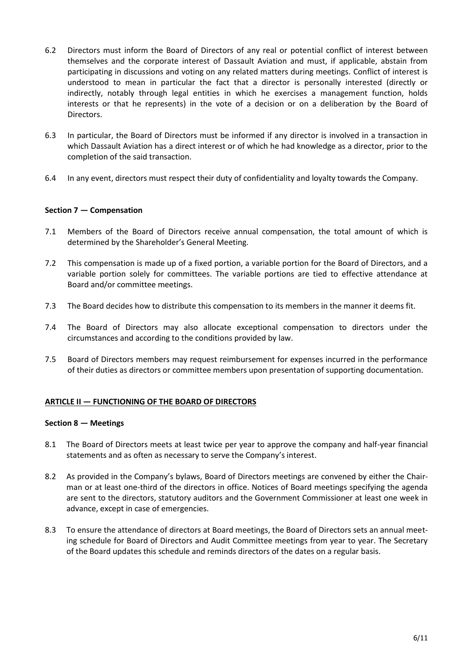- 6.2 Directors must inform the Board of Directors of any real or potential conflict of interest between themselves and the corporate interest of Dassault Aviation and must, if applicable, abstain from participating in discussions and voting on any related matters during meetings. Conflict of interest is understood to mean in particular the fact that a director is personally interested (directly or indirectly, notably through legal entities in which he exercises a management function, holds interests or that he represents) in the vote of a decision or on a deliberation by the Board of Directors.
- 6.3 In particular, the Board of Directors must be informed if any director is involved in a transaction in which Dassault Aviation has a direct interest or of which he had knowledge as a director, prior to the completion of the said transaction.
- 6.4 In any event, directors must respect their duty of confidentiality and loyalty towards the Company.

# **Section 7 — Compensation**

- 7.1 Members of the Board of Directors receive annual compensation, the total amount of which is determined by the Shareholder's General Meeting.
- 7.2 This compensation is made up of a fixed portion, a variable portion for the Board of Directors, and a variable portion solely for committees. The variable portions are tied to effective attendance at Board and/or committee meetings.
- 7.3 The Board decides how to distribute this compensation to its members in the manner it deems fit.
- 7.4 The Board of Directors may also allocate exceptional compensation to directors under the circumstances and according to the conditions provided by law.
- 7.5 Board of Directors members may request reimbursement for expenses incurred in the performance of their duties as directors or committee members upon presentation of supporting documentation.

#### **ARTICLE II — FUNCTIONING OF THE BOARD OF DIRECTORS**

#### **Section 8 — Meetings**

- 8.1 The Board of Directors meets at least twice per year to approve the company and half-year financial statements and as often as necessary to serve the Company's interest.
- 8.2 As provided in the Company's bylaws, Board of Directors meetings are convened by either the Chairman or at least one-third of the directors in office. Notices of Board meetings specifying the agenda are sent to the directors, statutory auditors and the Government Commissioner at least one week in advance, except in case of emergencies.
- 8.3 To ensure the attendance of directors at Board meetings, the Board of Directors sets an annual meeting schedule for Board of Directors and Audit Committee meetings from year to year. The Secretary of the Board updates this schedule and reminds directors of the dates on a regular basis.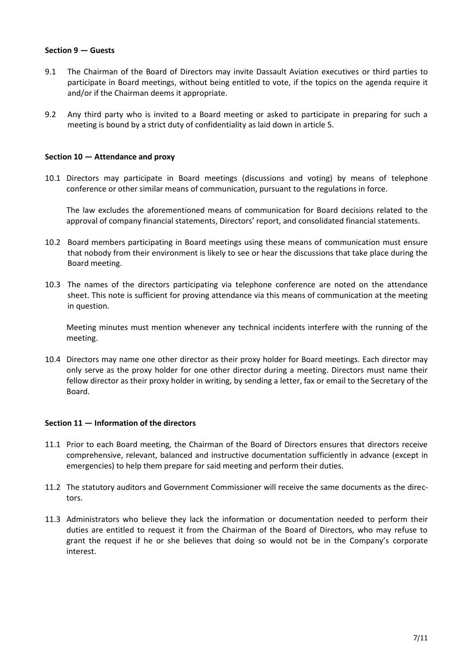## **Section 9 — Guests**

- 9.1 The Chairman of the Board of Directors may invite Dassault Aviation executives or third parties to participate in Board meetings, without being entitled to vote, if the topics on the agenda require it and/or if the Chairman deems it appropriate.
- 9.2 Any third party who is invited to a Board meeting or asked to participate in preparing for such a meeting is bound by a strict duty of confidentiality as laid down in article 5.

## **Section 10 — Attendance and proxy**

10.1 Directors may participate in Board meetings (discussions and voting) by means of telephone conference or other similar means of communication, pursuant to the regulations in force.

The law excludes the aforementioned means of communication for Board decisions related to the approval of company financial statements, Directors' report, and consolidated financial statements.

- 10.2 Board members participating in Board meetings using these means of communication must ensure that nobody from their environment is likely to see or hear the discussions that take place during the Board meeting.
- 10.3 The names of the directors participating via telephone conference are noted on the attendance sheet. This note is sufficient for proving attendance via this means of communication at the meeting in question.

Meeting minutes must mention whenever any technical incidents interfere with the running of the meeting.

10.4 Directors may name one other director as their proxy holder for Board meetings. Each director may only serve as the proxy holder for one other director during a meeting. Directors must name their fellow director as their proxy holder in writing, by sending a letter, fax or email to the Secretary of the Board.

#### **Section 11 — Information of the directors**

- 11.1 Prior to each Board meeting, the Chairman of the Board of Directors ensures that directors receive comprehensive, relevant, balanced and instructive documentation sufficiently in advance (except in emergencies) to help them prepare for said meeting and perform their duties.
- 11.2 The statutory auditors and Government Commissioner will receive the same documents as the directors.
- 11.3 Administrators who believe they lack the information or documentation needed to perform their duties are entitled to request it from the Chairman of the Board of Directors, who may refuse to grant the request if he or she believes that doing so would not be in the Company's corporate interest.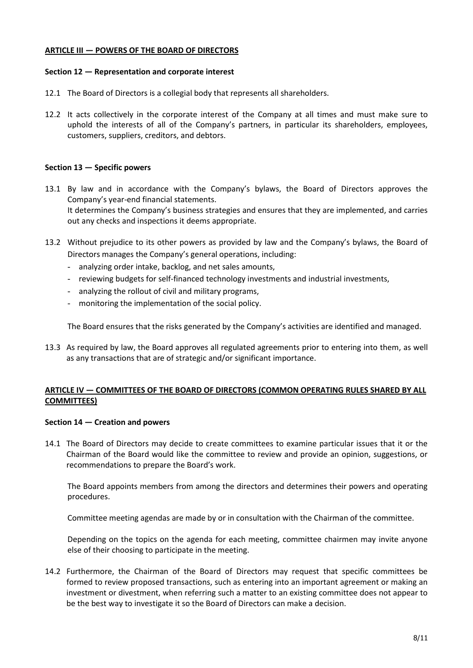## **ARTICLE III — POWERS OF THE BOARD OF DIRECTORS**

#### **Section 12 — Representation and corporate interest**

- 12.1 The Board of Directors is a collegial body that represents all shareholders.
- 12.2 It acts collectively in the corporate interest of the Company at all times and must make sure to uphold the interests of all of the Company's partners, in particular its shareholders, employees, customers, suppliers, creditors, and debtors.

# **Section 13 — Specific powers**

- 13.1 By law and in accordance with the Company's bylaws, the Board of Directors approves the Company's year-end financial statements. It determines the Company's business strategies and ensures that they are implemented, and carries out any checks and inspections it deems appropriate.
- 13.2 Without prejudice to its other powers as provided by law and the Company's bylaws, the Board of Directors manages the Company's general operations, including:
	- analyzing order intake, backlog, and net sales amounts,
	- reviewing budgets for self-financed technology investments and industrial investments,
	- analyzing the rollout of civil and military programs,
	- monitoring the implementation of the social policy.

The Board ensures that the risks generated by the Company's activities are identified and managed.

13.3 As required by law, the Board approves all regulated agreements prior to entering into them, as well as any transactions that are of strategic and/or significant importance.

# **ARTICLE IV — COMMITTEES OF THE BOARD OF DIRECTORS (COMMON OPERATING RULES SHARED BY ALL COMMITTEES)**

#### **Section 14 — Creation and powers**

14.1 The Board of Directors may decide to create committees to examine particular issues that it or the Chairman of the Board would like the committee to review and provide an opinion, suggestions, or recommendations to prepare the Board's work.

The Board appoints members from among the directors and determines their powers and operating procedures.

Committee meeting agendas are made by or in consultation with the Chairman of the committee.

Depending on the topics on the agenda for each meeting, committee chairmen may invite anyone else of their choosing to participate in the meeting.

14.2 Furthermore, the Chairman of the Board of Directors may request that specific committees be formed to review proposed transactions, such as entering into an important agreement or making an investment or divestment, when referring such a matter to an existing committee does not appear to be the best way to investigate it so the Board of Directors can make a decision.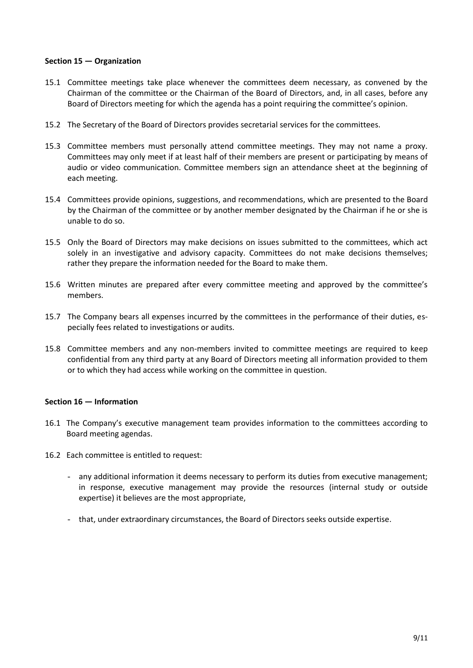## **Section 15 — Organization**

- 15.1 Committee meetings take place whenever the committees deem necessary, as convened by the Chairman of the committee or the Chairman of the Board of Directors, and, in all cases, before any Board of Directors meeting for which the agenda has a point requiring the committee's opinion.
- 15.2 The Secretary of the Board of Directors provides secretarial services for the committees.
- 15.3 Committee members must personally attend committee meetings. They may not name a proxy. Committees may only meet if at least half of their members are present or participating by means of audio or video communication. Committee members sign an attendance sheet at the beginning of each meeting.
- 15.4 Committees provide opinions, suggestions, and recommendations, which are presented to the Board by the Chairman of the committee or by another member designated by the Chairman if he or she is unable to do so.
- 15.5 Only the Board of Directors may make decisions on issues submitted to the committees, which act solely in an investigative and advisory capacity. Committees do not make decisions themselves; rather they prepare the information needed for the Board to make them.
- 15.6 Written minutes are prepared after every committee meeting and approved by the committee's members.
- 15.7 The Company bears all expenses incurred by the committees in the performance of their duties, especially fees related to investigations or audits.
- 15.8 Committee members and any non-members invited to committee meetings are required to keep confidential from any third party at any Board of Directors meeting all information provided to them or to which they had access while working on the committee in question.

#### **Section 16 — Information**

- 16.1 The Company's executive management team provides information to the committees according to Board meeting agendas.
- 16.2 Each committee is entitled to request:
	- any additional information it deems necessary to perform its duties from executive management; in response, executive management may provide the resources (internal study or outside expertise) it believes are the most appropriate,
	- that, under extraordinary circumstances, the Board of Directors seeks outside expertise.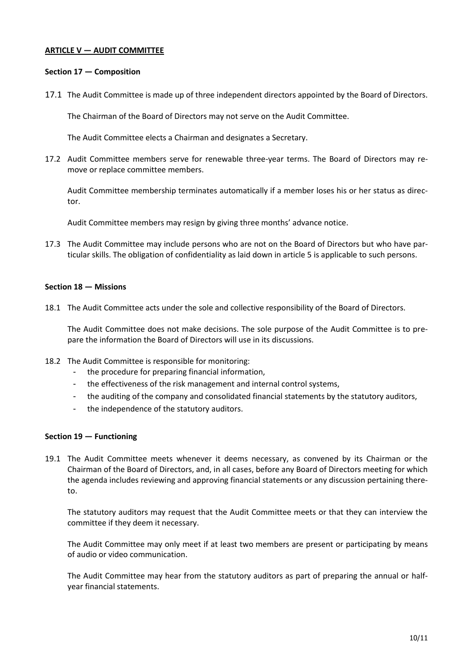## **ARTICLE V — AUDIT COMMITTEE**

#### **Section 17 — Composition**

17.1 The Audit Committee is made up of three independent directors appointed by the Board of Directors.

The Chairman of the Board of Directors may not serve on the Audit Committee.

The Audit Committee elects a Chairman and designates a Secretary.

17.2 Audit Committee members serve for renewable three-year terms. The Board of Directors may remove or replace committee members.

Audit Committee membership terminates automatically if a member loses his or her status as director.

Audit Committee members may resign by giving three months' advance notice.

17.3 The Audit Committee may include persons who are not on the Board of Directors but who have particular skills. The obligation of confidentiality as laid down in article 5 is applicable to such persons.

#### **Section 18 — Missions**

18.1 The Audit Committee acts under the sole and collective responsibility of the Board of Directors.

The Audit Committee does not make decisions. The sole purpose of the Audit Committee is to prepare the information the Board of Directors will use in its discussions.

- 18.2 The Audit Committee is responsible for monitoring:
	- the procedure for preparing financial information,
	- the effectiveness of the risk management and internal control systems,
	- the auditing of the company and consolidated financial statements by the statutory auditors,
	- the independence of the statutory auditors.

#### **Section 19 — Functioning**

19.1 The Audit Committee meets whenever it deems necessary, as convened by its Chairman or the Chairman of the Board of Directors, and, in all cases, before any Board of Directors meeting for which the agenda includes reviewing and approving financial statements or any discussion pertaining thereto.

The statutory auditors may request that the Audit Committee meets or that they can interview the committee if they deem it necessary.

The Audit Committee may only meet if at least two members are present or participating by means of audio or video communication.

The Audit Committee may hear from the statutory auditors as part of preparing the annual or halfyear financial statements.